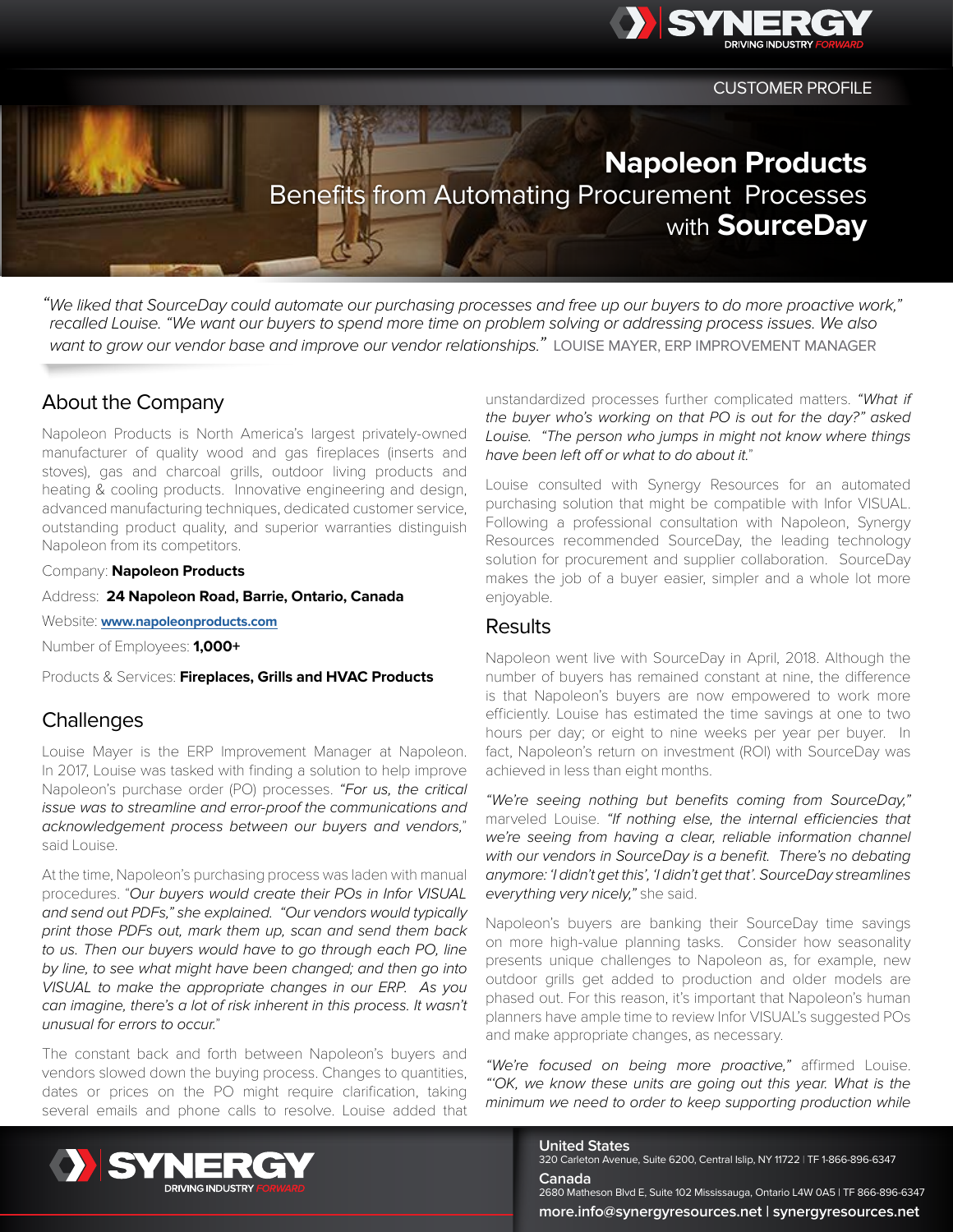

CUSTOMER PROFILE

# **Napoleon Products** Benefits from Automating Procurement Processes with **SourceDay**

*"We liked that SourceDay could automate our purchasing processes and free up our buyers to do more proactive work," recalled Louise. "We want our buyers to spend more time on problem solving or addressing process issues. We also want to grow our vendor base and improve our vendor relationships."* LOUISE MAYER, ERP IMPROVEMENT MANAGER

# About the Company

Napoleon Products is North America's largest privately-owned manufacturer of quality wood and gas fireplaces (inserts and stoves), gas and charcoal grills, outdoor living products and heating & cooling products. Innovative engineering and design, advanced manufacturing techniques, dedicated customer service, outstanding product quality, and superior warranties distinguish Napoleon from its competitors.

Company: **Napoleon Products**

Address: **24 Napoleon Road, Barrie, Ontario, Canada**

Website: **[www.napoleonproducts.com](http://www.napoleonproducts.com)**

Number of Employees: **1,000+**

Products & Services: **Fireplaces, Grills and HVAC Products**

## **Challenges**

Louise Mayer is the ERP Improvement Manager at Napoleon. In 2017, Louise was tasked with finding a solution to help improve Napoleon's purchase order (PO) processes. *"For us, the critical issue was to streamline and error-proof the communications and acknowledgement process between our buyers and vendors,*" said Louise.

At the time, Napoleon's purchasing process was laden with manual procedures. "*Our buyers would create their POs in Infor VISUAL and send out PDFs," she explained. "Our vendors would typically print those PDFs out, mark them up, scan and send them back to us. Then our buyers would have to go through each PO, line by line, to see what might have been changed; and then go into VISUAL to make the appropriate changes in our ERP. As you can imagine, there's a lot of risk inherent in this process. It wasn't unusual for errors to occur.*"

The constant back and forth between Napoleon's buyers and vendors slowed down the buying process. Changes to quantities, dates or prices on the PO might require clarification, taking several emails and phone calls to resolve. Louise added that

unstandardized processes further complicated matters. *"What if the buyer who's working on that PO is out for the day?" asked Louise. "The person who jumps in might not know where things have been left off or what to do about it.*"

Louise consulted with Synergy Resources for an automated purchasing solution that might be compatible with Infor VISUAL. Following a professional consultation with Napoleon, Synergy Resources recommended SourceDay, the leading technology solution for procurement and supplier collaboration. SourceDay makes the job of a buyer easier, simpler and a whole lot more enjoyable.

## **Results**

Napoleon went live with SourceDay in April, 2018. Although the number of buyers has remained constant at nine, the difference is that Napoleon's buyers are now empowered to work more efficiently. Louise has estimated the time savings at one to two hours per day; or eight to nine weeks per year per buyer. In fact, Napoleon's return on investment (ROI) with SourceDay was achieved in less than eight months.

*"We're seeing nothing but benefits coming from SourceDay,"*  marveled Louise. *"If nothing else, the internal efficiencies that we're seeing from having a clear, reliable information channel with our vendors in SourceDay is a benefit. There's no debating anymore: 'I didn't get this', 'I didn't get that'. SourceDay streamlines everything very nicely,"* she said.

Napoleon's buyers are banking their SourceDay time savings on more high-value planning tasks. Consider how seasonality presents unique challenges to Napoleon as, for example, new outdoor grills get added to production and older models are phased out. For this reason, it's important that Napoleon's human planners have ample time to review Infor VISUAL's suggested POs and make appropriate changes, as necessary.

*"We're focused on being more proactive,"* affirmed Louise. *"'OK, we know these units are going out this year. What is the minimum we need to order to keep supporting production while* 



**United States** 320 Carleton Avenue, Suite 6200, Central Islip, NY 11722 | TF 1-866-896-6347 **Canada**  2680 Matheson Blvd E, Suite 102 Mississauga, Ontario L4W 0A5 | TF 866-896-6347 **more.info@synergyresources.net | synergyresources.net**